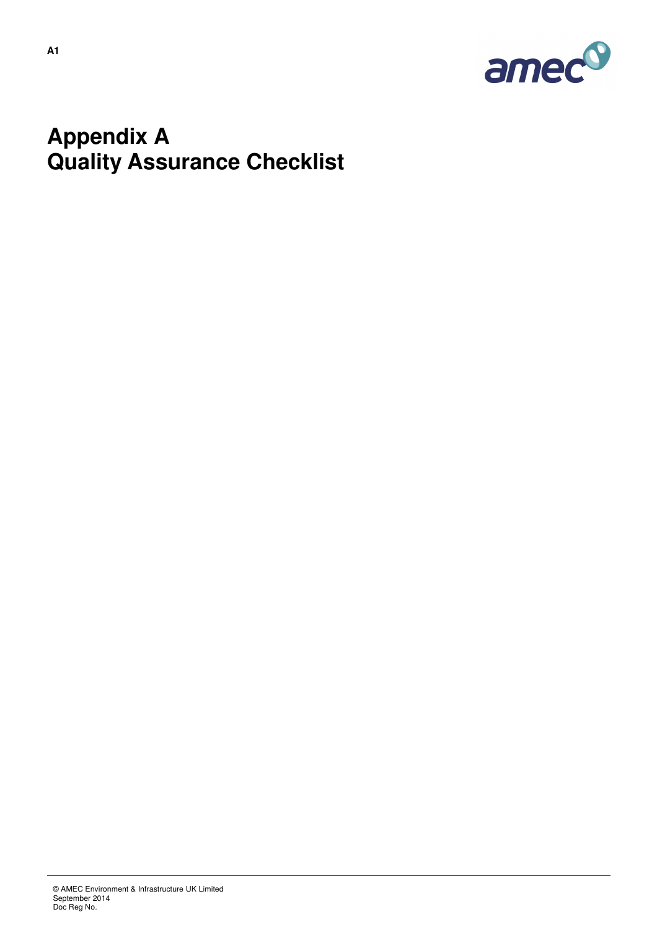

## **Appendix A Quality Assurance Checklist**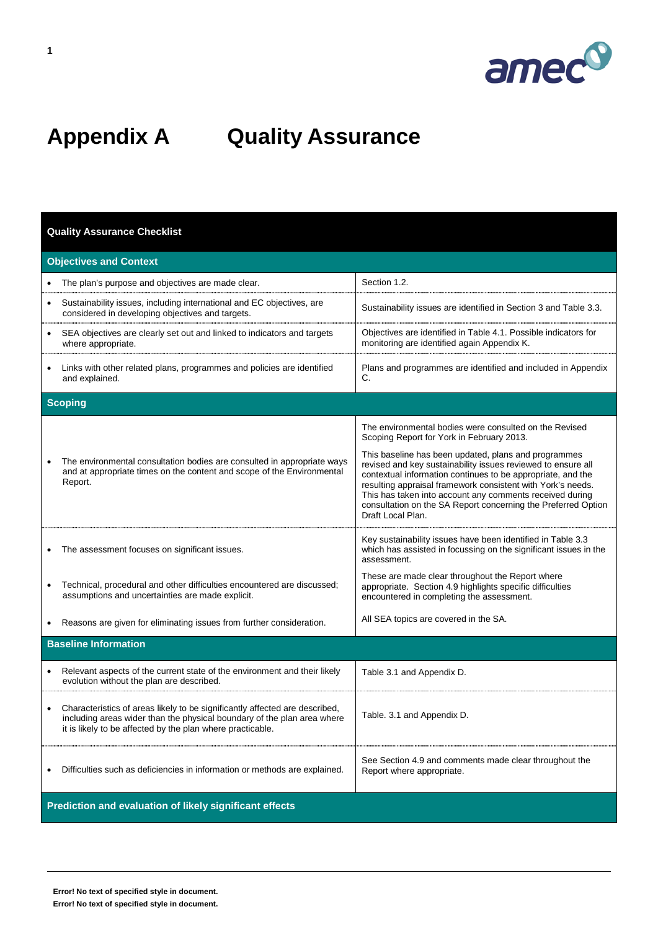

## **Appendix A Quality Assurance**

## **Quality Assurance Checklist**

| <b>Objectives and Context</b>                                                                                                                                                                                             |                                                                                                                                                                                                                                                                                                                                                                                                      |  |  |  |
|---------------------------------------------------------------------------------------------------------------------------------------------------------------------------------------------------------------------------|------------------------------------------------------------------------------------------------------------------------------------------------------------------------------------------------------------------------------------------------------------------------------------------------------------------------------------------------------------------------------------------------------|--|--|--|
| The plan's purpose and objectives are made clear.                                                                                                                                                                         | Section 1.2.                                                                                                                                                                                                                                                                                                                                                                                         |  |  |  |
| Sustainability issues, including international and EC objectives, are<br>considered in developing objectives and targets.                                                                                                 | Sustainability issues are identified in Section 3 and Table 3.3.                                                                                                                                                                                                                                                                                                                                     |  |  |  |
| SEA objectives are clearly set out and linked to indicators and targets<br>where appropriate.                                                                                                                             | Objectives are identified in Table 4.1. Possible indicators for<br>monitoring are identified again Appendix K.                                                                                                                                                                                                                                                                                       |  |  |  |
| Links with other related plans, programmes and policies are identified<br>and explained.                                                                                                                                  | Plans and programmes are identified and included in Appendix<br>C.                                                                                                                                                                                                                                                                                                                                   |  |  |  |
| <b>Scoping</b>                                                                                                                                                                                                            |                                                                                                                                                                                                                                                                                                                                                                                                      |  |  |  |
|                                                                                                                                                                                                                           | The environmental bodies were consulted on the Revised<br>Scoping Report for York in February 2013.                                                                                                                                                                                                                                                                                                  |  |  |  |
| The environmental consultation bodies are consulted in appropriate ways<br>and at appropriate times on the content and scope of the Environmental<br>Report.                                                              | This baseline has been updated, plans and programmes<br>revised and key sustainability issues reviewed to ensure all<br>contextual information continues to be appropriate, and the<br>resulting appraisal framework consistent with York's needs.<br>This has taken into account any comments received during<br>consultation on the SA Report concerning the Preferred Option<br>Draft Local Plan. |  |  |  |
| The assessment focuses on significant issues.                                                                                                                                                                             | Key sustainability issues have been identified in Table 3.3<br>which has assisted in focussing on the significant issues in the<br>assessment.                                                                                                                                                                                                                                                       |  |  |  |
| Technical, procedural and other difficulties encountered are discussed;<br>assumptions and uncertainties are made explicit.                                                                                               | These are made clear throughout the Report where<br>appropriate. Section 4.9 highlights specific difficulties<br>encountered in completing the assessment.                                                                                                                                                                                                                                           |  |  |  |
| Reasons are given for eliminating issues from further consideration.                                                                                                                                                      | All SEA topics are covered in the SA.                                                                                                                                                                                                                                                                                                                                                                |  |  |  |
| <b>Baseline Information</b>                                                                                                                                                                                               |                                                                                                                                                                                                                                                                                                                                                                                                      |  |  |  |
| Relevant aspects of the current state of the environment and their likely<br>$\bullet$<br>evolution without the plan are described.                                                                                       | Table 3.1 and Appendix D.                                                                                                                                                                                                                                                                                                                                                                            |  |  |  |
| Characteristics of areas likely to be significantly affected are described,<br>٠<br>including areas wider than the physical boundary of the plan area where<br>it is likely to be affected by the plan where practicable. | Table. 3.1 and Appendix D.                                                                                                                                                                                                                                                                                                                                                                           |  |  |  |
| Difficulties such as deficiencies in information or methods are explained.                                                                                                                                                | See Section 4.9 and comments made clear throughout the<br>Report where appropriate.                                                                                                                                                                                                                                                                                                                  |  |  |  |
| Prediction and evaluation of likely significant effects                                                                                                                                                                   |                                                                                                                                                                                                                                                                                                                                                                                                      |  |  |  |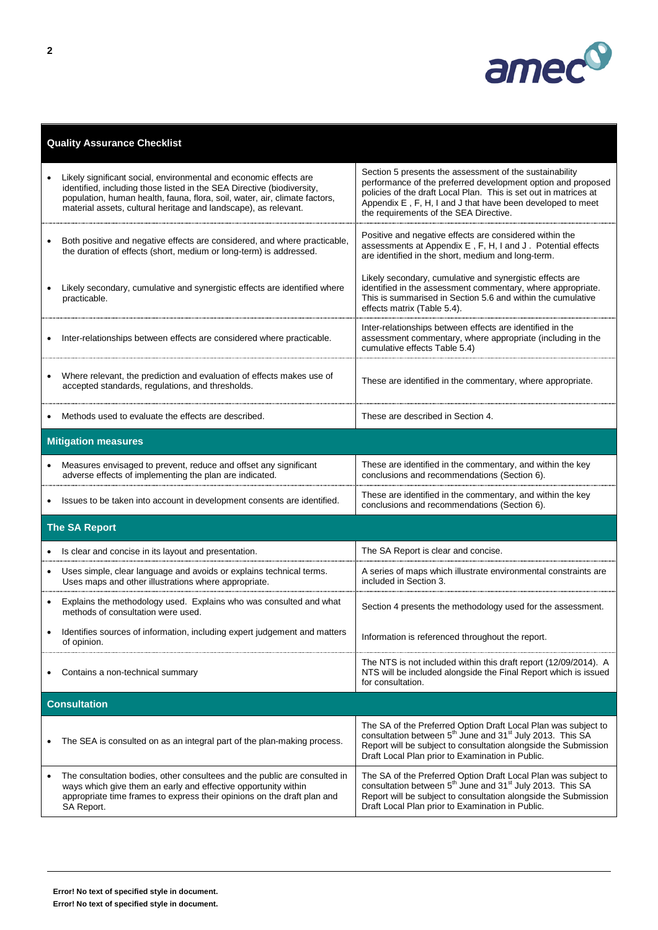

|                            | <b>Quality Assurance Checklist</b>                                                                                                                                                                                                                                                           |                                                                                                                                                                                                                                                                                                     |  |
|----------------------------|----------------------------------------------------------------------------------------------------------------------------------------------------------------------------------------------------------------------------------------------------------------------------------------------|-----------------------------------------------------------------------------------------------------------------------------------------------------------------------------------------------------------------------------------------------------------------------------------------------------|--|
|                            | Likely significant social, environmental and economic effects are<br>identified, including those listed in the SEA Directive (biodiversity,<br>population, human health, fauna, flora, soil, water, air, climate factors,<br>material assets, cultural heritage and landscape), as relevant. | Section 5 presents the assessment of the sustainability<br>performance of the preferred development option and proposed<br>policies of the draft Local Plan. This is set out in matrices at<br>Appendix E, F, H, I and J that have been developed to meet<br>the requirements of the SEA Directive. |  |
| $\bullet$                  | Both positive and negative effects are considered, and where practicable,<br>the duration of effects (short, medium or long-term) is addressed.                                                                                                                                              | Positive and negative effects are considered within the<br>assessments at Appendix E, F, H, I and J. Potential effects<br>are identified in the short, medium and long-term.                                                                                                                        |  |
|                            | Likely secondary, cumulative and synergistic effects are identified where<br>practicable.                                                                                                                                                                                                    | Likely secondary, cumulative and synergistic effects are<br>identified in the assessment commentary, where appropriate.<br>This is summarised in Section 5.6 and within the cumulative<br>effects matrix (Table 5.4).                                                                               |  |
|                            | Inter-relationships between effects are considered where practicable.                                                                                                                                                                                                                        | Inter-relationships between effects are identified in the<br>assessment commentary, where appropriate (including in the<br>cumulative effects Table 5.4)                                                                                                                                            |  |
|                            | Where relevant, the prediction and evaluation of effects makes use of<br>accepted standards, regulations, and thresholds.                                                                                                                                                                    | These are identified in the commentary, where appropriate.                                                                                                                                                                                                                                          |  |
|                            | Methods used to evaluate the effects are described.                                                                                                                                                                                                                                          | These are described in Section 4.                                                                                                                                                                                                                                                                   |  |
| <b>Mitigation measures</b> |                                                                                                                                                                                                                                                                                              |                                                                                                                                                                                                                                                                                                     |  |
|                            | Measures envisaged to prevent, reduce and offset any significant<br>adverse effects of implementing the plan are indicated.                                                                                                                                                                  | These are identified in the commentary, and within the key<br>conclusions and recommendations (Section 6).                                                                                                                                                                                          |  |
|                            | Issues to be taken into account in development consents are identified.                                                                                                                                                                                                                      | These are identified in the commentary, and within the key<br>conclusions and recommendations (Section 6).                                                                                                                                                                                          |  |
|                            | <b>The SA Report</b>                                                                                                                                                                                                                                                                         |                                                                                                                                                                                                                                                                                                     |  |
|                            | Is clear and concise in its layout and presentation.                                                                                                                                                                                                                                         | The SA Report is clear and concise.                                                                                                                                                                                                                                                                 |  |
|                            | Uses simple, clear language and avoids or explains technical terms.<br>Uses maps and other illustrations where appropriate.                                                                                                                                                                  | A series of maps which illustrate environmental constraints are<br>included in Section 3.                                                                                                                                                                                                           |  |
|                            | Explains the methodology used. Explains who was consulted and what<br>methods of consultation were used.                                                                                                                                                                                     | Section 4 presents the methodology used for the assessment.                                                                                                                                                                                                                                         |  |
|                            | Identifies sources of information, including expert judgement and matters<br>of opinion.                                                                                                                                                                                                     | Information is referenced throughout the report.                                                                                                                                                                                                                                                    |  |
|                            | Contains a non-technical summary                                                                                                                                                                                                                                                             | The NTS is not included within this draft report (12/09/2014). A<br>NTS will be included alongside the Final Report which is issued<br>for consultation.                                                                                                                                            |  |
| <b>Consultation</b>        |                                                                                                                                                                                                                                                                                              |                                                                                                                                                                                                                                                                                                     |  |
|                            | The SEA is consulted on as an integral part of the plan-making process.                                                                                                                                                                                                                      | The SA of the Preferred Option Draft Local Plan was subject to<br>consultation between 5 <sup>th</sup> June and 31 <sup>st</sup> July 2013. This SA<br>Report will be subject to consultation alongside the Submission<br>Draft Local Plan prior to Examination in Public.                          |  |
|                            | The consultation bodies, other consultees and the public are consulted in<br>ways which give them an early and effective opportunity within<br>appropriate time frames to express their opinions on the draft plan and<br>SA Report.                                                         | The SA of the Preferred Option Draft Local Plan was subject to<br>consultation between 5 <sup>th</sup> June and 31 <sup>st</sup> July 2013. This SA<br>Report will be subject to consultation alongside the Submission<br>Draft Local Plan prior to Examination in Public.                          |  |